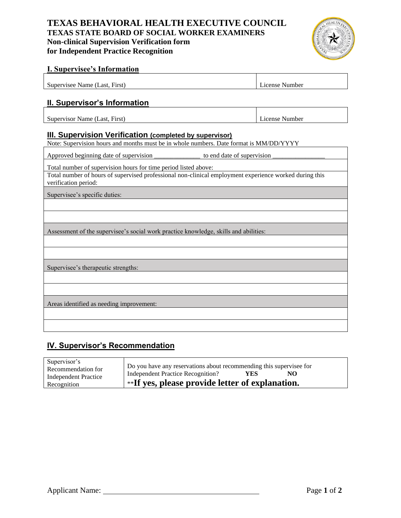# **TEXAS BEHAVIORAL HEALTH EXECUTIVE COUNCIL TEXAS STATE BOARD OF SOCIAL WORKER EXAMINERS Non-clinical Supervision Verification form for Independent Practice Recognition**



#### **I. Supervisee's Information**

| $\overline{\phantom{a}}$<br>$\sim$<br>Supervisee<br><b>First</b><br>Name v<br>-ast | $\sim$ $\cdot$<br>Aumber<br>1Cense |
|------------------------------------------------------------------------------------|------------------------------------|
|                                                                                    |                                    |

### **II. Supervisor's Information**

Supervisor Name (Last, First) License Number

#### **III. Supervision Verification (completed by supervisor)**

Note: Supervision hours and months must be in whole numbers. Date format is MM/DD/YYYY

Approved beginning date of supervision \_\_\_\_\_\_\_\_\_\_\_\_\_\_\_\_\_\_\_ to end date of supervision

Total number of supervision hours for time period listed above:

Total number of hours of supervised professional non-clinical employment experience worked during this verification period:

Supervisee's specific duties:

Assessment of the supervisee's social work practice knowledge, skills and abilities:

Supervisee's therapeutic strengths:

Areas identified as needing improvement:

## **IV. Supervisor's Recommendation**

| Supervisor's<br>Recommendation for | Do you have any reservations about recommending this supervisee for |     |    |  |
|------------------------------------|---------------------------------------------------------------------|-----|----|--|
| <b>Independent Practice</b>        | Independent Practice Recognition?                                   | YES | NO |  |
| Recognition                        | <b>**If yes, please provide letter of explanation.</b>              |     |    |  |